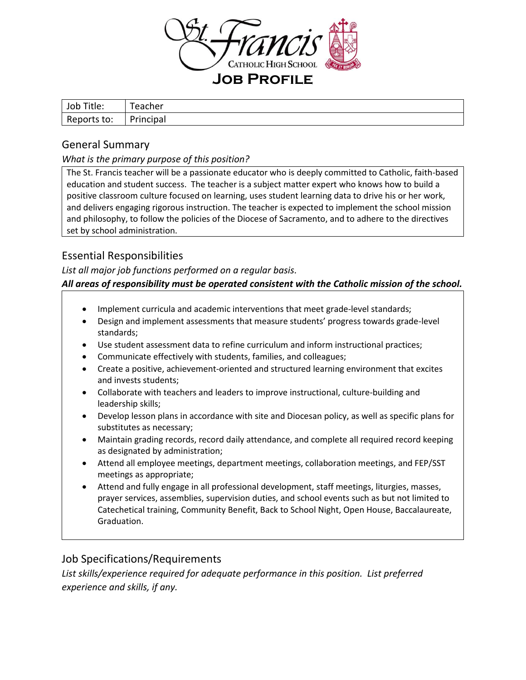

| Title:<br>Job | eacher    |
|---------------|-----------|
| Reports to:   | Principal |

## General Summary

### *What is the primary purpose of this position?*

The St. Francis teacher will be a passionate educator who is deeply committed to Catholic, faith-based education and student success. The teacher is a subject matter expert who knows how to build a positive classroom culture focused on learning, uses student learning data to drive his or her work, and delivers engaging rigorous instruction. The teacher is expected to implement the school mission and philosophy, to follow the policies of the Diocese of Sacramento, and to adhere to the directives set by school administration.

## Essential Responsibilities

#### *List all major job functions performed on a regular basis.*

### *All areas of responsibility must be operated consistent with the Catholic mission of the school.*

- Implement curricula and academic interventions that meet grade-level standards;
- Design and implement assessments that measure students' progress towards grade-level standards;
- Use student assessment data to refine curriculum and inform instructional practices;
- Communicate effectively with students, families, and colleagues;
- Create a positive, achievement-oriented and structured learning environment that excites and invests students;
- Collaborate with teachers and leaders to improve instructional, culture-building and leadership skills;
- Develop lesson plans in accordance with site and Diocesan policy, as well as specific plans for substitutes as necessary;
- Maintain grading records, record daily attendance, and complete all required record keeping as designated by administration;
- Attend all employee meetings, department meetings, collaboration meetings, and FEP/SST meetings as appropriate;
- Attend and fully engage in all professional development, staff meetings, liturgies, masses, prayer services, assemblies, supervision duties, and school events such as but not limited to Catechetical training, Community Benefit, Back to School Night, Open House, Baccalaureate, Graduation.

# Job Specifications/Requirements

*List skills/experience required for adequate performance in this position. List preferred experience and skills, if any.*